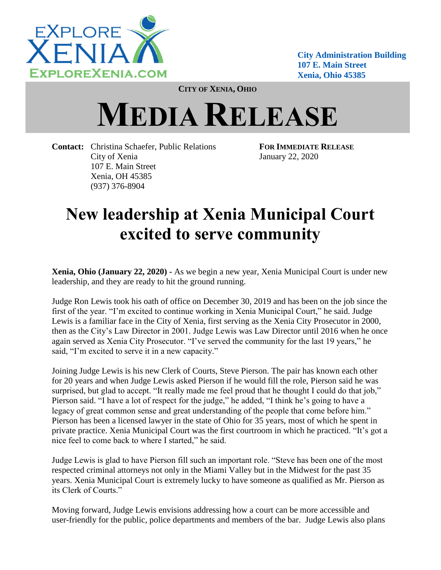

**City Administration Building 107 E. Main Street Xenia, Ohio 45385**

**CITY OF XENIA, OHIO**

## **MEDIA RELEASE**

**Contact:** Christina Schaefer, Public Relations **FOR IMMEDIATE RELEASE** City of Xenia January 22, 2020 107 E. Main Street Xenia, OH 45385 (937) 376-8904

## **New leadership at Xenia Municipal Court excited to serve community**

**Xenia, Ohio (January 22, 2020) -** As we begin a new year, Xenia Municipal Court is under new leadership, and they are ready to hit the ground running.

Judge Ron Lewis took his oath of office on December 30, 2019 and has been on the job since the first of the year. "I'm excited to continue working in Xenia Municipal Court," he said. Judge Lewis is a familiar face in the City of Xenia, first serving as the Xenia City Prosecutor in 2000, then as the City's Law Director in 2001. Judge Lewis was Law Director until 2016 when he once again served as Xenia City Prosecutor. "I've served the community for the last 19 years," he said, "I'm excited to serve it in a new capacity."

Joining Judge Lewis is his new Clerk of Courts, Steve Pierson. The pair has known each other for 20 years and when Judge Lewis asked Pierson if he would fill the role, Pierson said he was surprised, but glad to accept. "It really made me feel proud that he thought I could do that job," Pierson said. "I have a lot of respect for the judge," he added, "I think he's going to have a legacy of great common sense and great understanding of the people that come before him." Pierson has been a licensed lawyer in the state of Ohio for 35 years, most of which he spent in private practice. Xenia Municipal Court was the first courtroom in which he practiced. "It's got a nice feel to come back to where I started," he said.

Judge Lewis is glad to have Pierson fill such an important role. "Steve has been one of the most respected criminal attorneys not only in the Miami Valley but in the Midwest for the past 35 years. Xenia Municipal Court is extremely lucky to have someone as qualified as Mr. Pierson as its Clerk of Courts."

Moving forward, Judge Lewis envisions addressing how a court can be more accessible and user-friendly for the public, police departments and members of the bar. Judge Lewis also plans